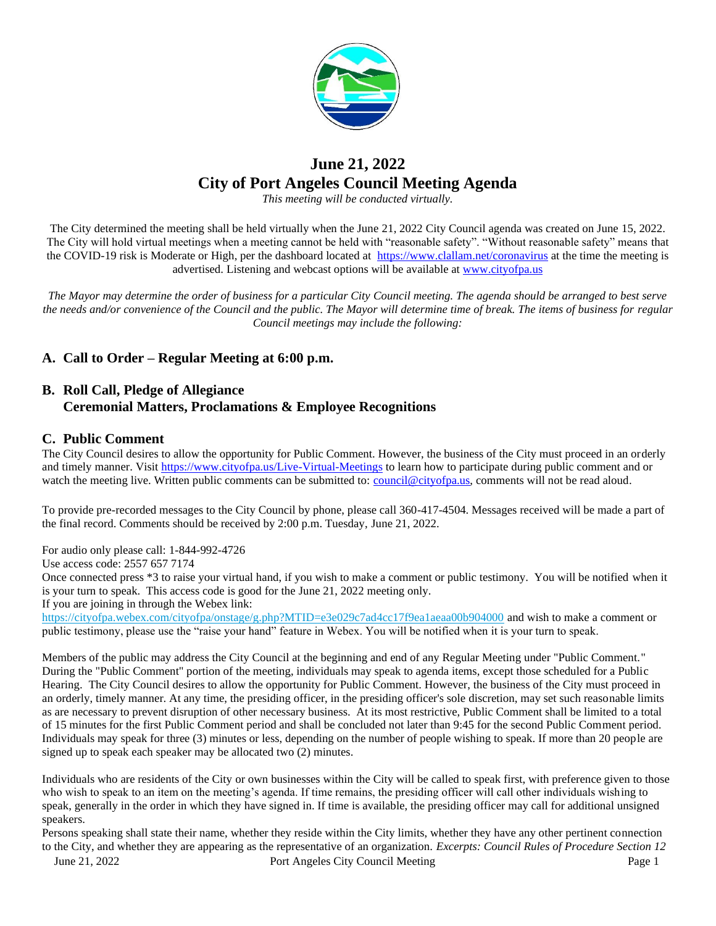

## **June 21, 2022 City of Port Angeles Council Meeting Agenda**

*This meeting will be conducted virtually.*

The City determined the meeting shall be held virtually when the June 21, 2022 City Council agenda was created on June 15, 2022. The City will hold virtual meetings when a meeting cannot be held with "reasonable safety". "Without reasonable safety" means that the COVID-19 risk is Moderate or High, per the dashboard located at [https://www.clallam.net/coronavirus](https://gcc02.safelinks.protection.outlook.com/?url=https%3A%2F%2Fwww.clallam.net%2Fcoronavirus&data=05%7C01%7CScurran%40cityofpa.us%7Cc749505f484d4f6dd72608da3eb24b9e%7C57b967ad7ef047f092f508dad41714f3%7C0%7C0%7C637891232755993346%7CUnknown%7CTWFpbGZsb3d8eyJWIjoiMC4wLjAwMDAiLCJQIjoiV2luMzIiLCJBTiI6Ik1haWwiLCJXVCI6Mn0%3D%7C3000%7C%7C%7C&sdata=MItQwEUrh2tiNUmzqZKsVPQRPcxu6hAY%2BuSFnIm6l0o%3D&reserved=0) at the time the meeting is advertised. Listening and webcast options will be available at [www.cityofpa.us](http://www.cityofpa.us/) 

*The Mayor may determine the order of business for a particular City Council meeting. The agenda should be arranged to best serve the needs and/or convenience of the Council and the public. The Mayor will determine time of break. The items of business for regular Council meetings may include the following:*

## **A. Call to Order – Regular Meeting at 6:00 p.m.**

## **B. Roll Call, Pledge of Allegiance Ceremonial Matters, Proclamations & Employee Recognitions**

### **C. Public Comment**

The City Council desires to allow the opportunity for Public Comment. However, the business of the City must proceed in an orderly and timely manner. Visit<https://www.cityofpa.us/Live-Virtual-Meetings> to learn how to participate during public comment and or watch the meeting live. Written public comments can be submitted to: [council@cityofpa.us,](mailto:council@cityofpa.us) comments will not be read aloud.

To provide pre-recorded messages to the City Council by phone, please call 360-417-4504. Messages received will be made a part of the final record. Comments should be received by 2:00 p.m. Tuesday, June 21, 2022.

For audio only please call: 1-844-992-4726

Use access code: 2557 657 7174

Once connected press \*3 to raise your virtual hand, if you wish to make a comment or public testimony. You will be notified when it is your turn to speak. This access code is good for the June 21, 2022 meeting only.

If you are joining in through the Webex link:

<https://cityofpa.webex.com/cityofpa/onstage/g.php?MTID=e3e029c7ad4cc17f9ea1aeaa00b904000> and wish to make a comment or public testimony, please use the "raise your hand" feature in Webex. You will be notified when it is your turn to speak.

Members of the public may address the City Council at the beginning and end of any Regular Meeting under "Public Comment." During the "Public Comment" portion of the meeting, individuals may speak to agenda items, except those scheduled for a Public Hearing. The City Council desires to allow the opportunity for Public Comment. However, the business of the City must proceed in an orderly, timely manner. At any time, the presiding officer, in the presiding officer's sole discretion, may set such reasonable limits as are necessary to prevent disruption of other necessary business. At its most restrictive, Public Comment shall be limited to a total of 15 minutes for the first Public Comment period and shall be concluded not later than 9:45 for the second Public Comment period. Individuals may speak for three (3) minutes or less, depending on the number of people wishing to speak. If more than 20 people are signed up to speak each speaker may be allocated two (2) minutes.

Individuals who are residents of the City or own businesses within the City will be called to speak first, with preference given to those who wish to speak to an item on the meeting's agenda. If time remains, the presiding officer will call other individuals wishing to speak, generally in the order in which they have signed in. If time is available, the presiding officer may call for additional unsigned speakers.

June 21, 2022 Port Angeles City Council Meeting Page 1 Persons speaking shall state their name, whether they reside within the City limits, whether they have any other pertinent connection to the City, and whether they are appearing as the representative of an organization. *Excerpts: Council Rules of Procedure Section 12*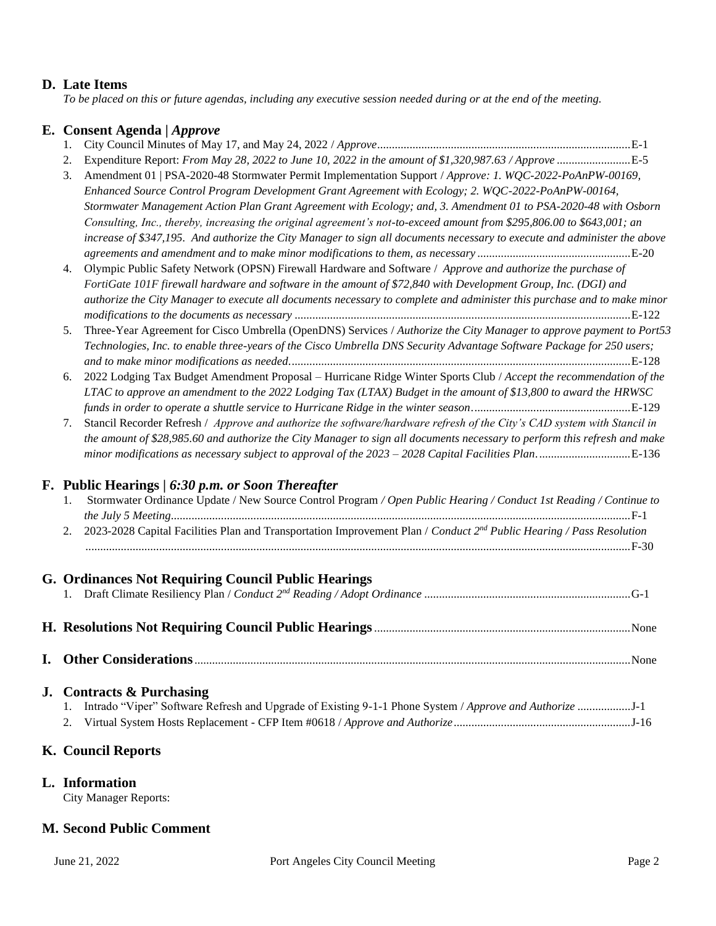### **D. Late Items**

*To be placed on this or future agendas, including any executive session needed during or at the end of the meeting.*

### **E. Consent Agenda |** *Approve*

|--|--|--|--|

- 2. Expenditure Report: *From May 28, 2022 to June 10, 2022 in the amount of \$1,320,987.63 / Approve* .........................E-5
- 3. Amendment 01 | PSA-2020-48 Stormwater Permit Implementation Support / *Approve: 1. WQC-2022-PoAnPW-00169, Enhanced Source Control Program Development Grant Agreement with Ecology; 2. WQC-2022-PoAnPW-00164, Stormwater Management Action Plan Grant Agreement with Ecology; and, 3. Amendment 01 to PSA-2020-48 with Osborn Consulting, Inc., thereby, increasing the original agreement's not-to-exceed amount from \$295,806.00 to \$643,001; an increase of \$347,195. And authorize the City Manager to sign all documents necessary to execute and administer the above agreements and amendment and to make minor modifications to them, as necessary* ....................................................E-20

4. Olympic Public Safety Network (OPSN) Firewall Hardware and Software / *Approve and authorize the purchase of FortiGate 101F firewall hardware and software in the amount of \$72,840 with Development Group, Inc. (DGI) and authorize the City Manager to execute all documents necessary to complete and administer this purchase and to make minor modifications to the documents as necessary* ..................................................................................................................E-122

- 5. Three-Year Agreement for Cisco Umbrella (OpenDNS) Services / *Authorize the City Manager to approve payment to Port53 Technologies, Inc. to enable three-years of the Cisco Umbrella DNS Security Advantage Software Package for 250 users; and to make minor modifications as needed*....................................................................................................................E-128
- 6. 2022 Lodging Tax Budget Amendment Proposal Hurricane Ridge Winter Sports Club / *Accept the recommendation of the LTAC to approve an amendment to the 2022 Lodging Tax (LTAX) Budget in the amount of \$13,800 to award the HRWSC funds in order to operate a shuttle service to Hurricane Ridge in the winter season*......................................................E-129

7. Stancil Recorder Refresh / *Approve and authorize the software/hardware refresh of the City's CAD system with Stancil in the amount of \$28,985.60 and authorize the City Manager to sign all documents necessary to perform this refresh and make minor modifications as necessary subject to approval of the 2023 – 2028 Capital Facilities Plan*................................E-136

### **F. Public Hearings |** *6:30 p.m. or Soon Thereafter*

| Stormwater Ordinance Update / New Source Control Program / Open Public Hearing / Conduct 1st Reading / Continue to                  |
|-------------------------------------------------------------------------------------------------------------------------------------|
|                                                                                                                                     |
| 2. 2023-2028 Capital Facilities Plan and Transportation Improvement Plan / Conduct 2 <sup>nd</sup> Public Hearing / Pass Resolution |
|                                                                                                                                     |

# **G. Ordinances Not Requiring Council Public Hearings**

**I. Other Considerations**....................................................................................................................................................None

### **J. Contracts & Purchasing**

## **K. Council Reports**

### **L. Information**

City Manager Reports:

## **M. Second Public Comment**